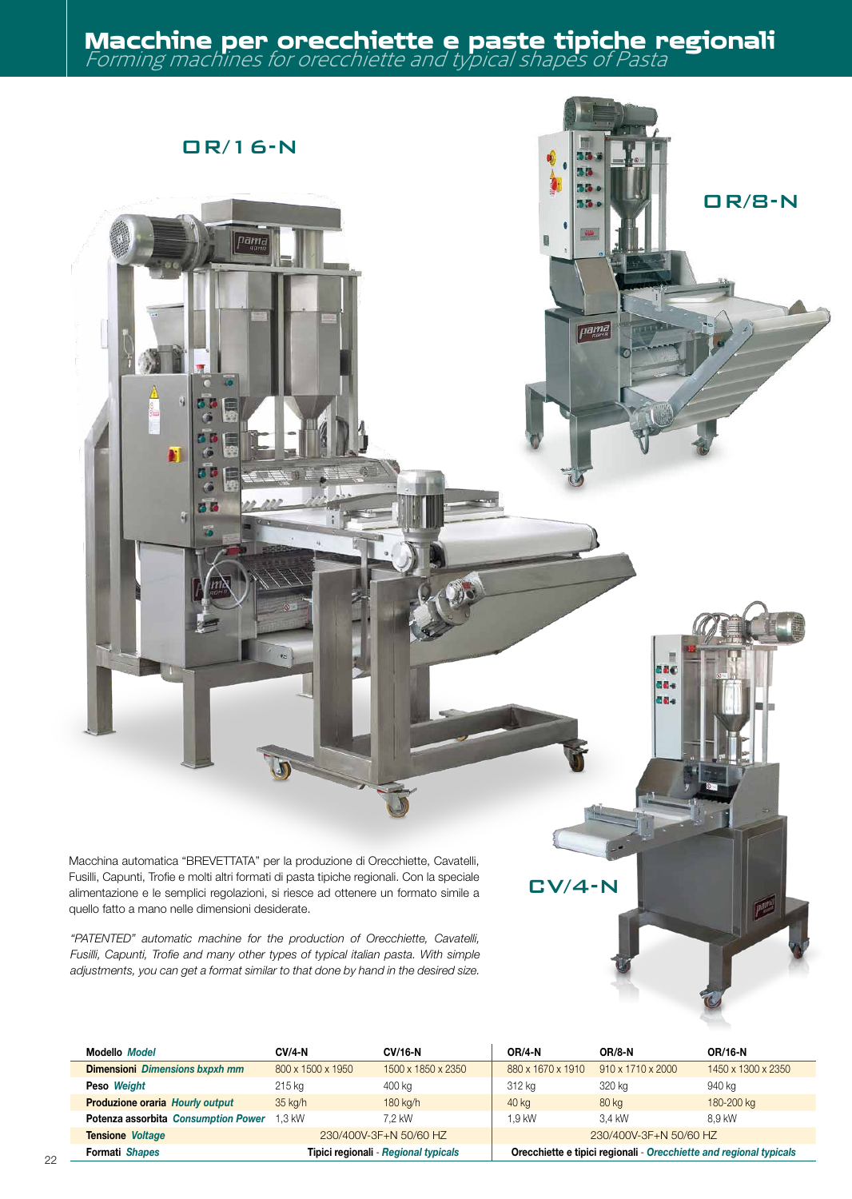## Forming machines for orecchiette and typical shapes of Pasta **Macchine per orecchiette e paste tipiche regionali**

OR/8-N



N

B E

Macchina automatica "BREVETTATA" per la produzione di Orecchiette, Cavatelli, Fusilli, Capunti, Trofie e molti altri formati di pasta tipiche regionali. Con la speciale alimentazione e le semplici regolazioni, si riesce ad ottenere un formato simile a quello fatto a mano nelle dimensioni desiderate.

*"PATENTED" automatic machine for the production of Orecchiette, Cavatelli, Fusilli, Capunti, Trofie and many other types of typical italian pasta. With simple adjustments, you can get a format similar to that done by hand in the desired size.*

| <b>Modello Model</b>                  | <b>CV/4-N</b>                        | <b>CV/16-N</b>     | <b>OR/4-N</b>                                                      | <b>OR/8-N</b>                 | OR/16-N            |
|---------------------------------------|--------------------------------------|--------------------|--------------------------------------------------------------------|-------------------------------|--------------------|
| <b>Dimensioni</b> Dimensions bxpxh mm | 800 x 1500 x 1950                    | 1500 x 1850 x 2350 | 880 x 1670 x 1910                                                  | $910 \times 1710 \times 2000$ | 1450 x 1300 x 2350 |
| Peso Weight                           | 215 kg                               | 400 kg             | 312 kg                                                             | 320 kg                        | 940 kg             |
| Produzione oraria Hourly output       | $35$ kg/h                            | 180 kg/h           | 40 kg                                                              | 80 kg                         | 180-200 kg         |
| Potenza assorbita Consumption Power   | $1.3$ kW                             | 7.2 kW             | 1.9 kW                                                             | 3.4 kW                        | 8.9 kW             |
| <b>Tensione Voltage</b>               | 230/400V-3F+N 50/60 HZ               |                    | 230/400V-3F+N 50/60 HZ                                             |                               |                    |
| <b>Formati Shapes</b>                 | Tipici regionali - Regional typicals |                    | Orecchiette e tipici regionali - Orecchiette and regional typicals |                               |                    |
|                                       |                                      |                    |                                                                    |                               |                    |

CV/4-N

880 de. de.

F. 55

*pama*